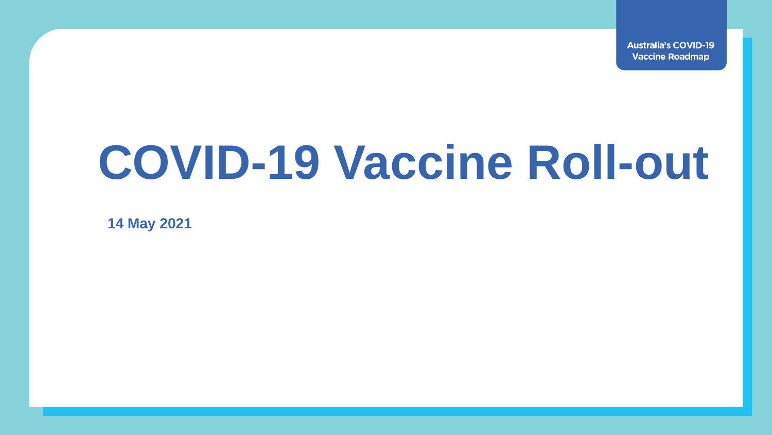**Australia's COVID-19 Vaccine Roadmap** 

## **COVID-19 Vaccine Roll-out**

**14 May 2021**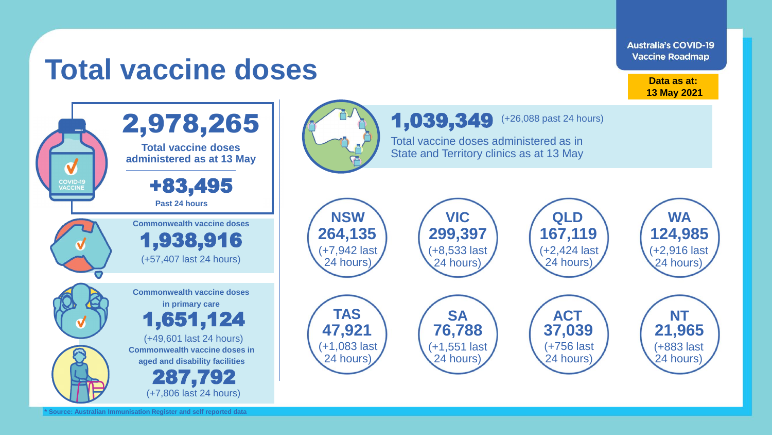## **Total vaccine doses** 2,978,265 **Total vaccine doses administered as at 13 May COVID-19**<br>VACCINE +83,495 **Past 24 hours NSW** 1,938,916 V (+7,942 last (+57,407 last 24 hours) 24 hours) **Commonwealth vaccine doses in primary care**

**Australia's COVID-19 Vaccine Roadmap** 

> **Data as at: 13 May 2021**



(+7,806 last 24 hours)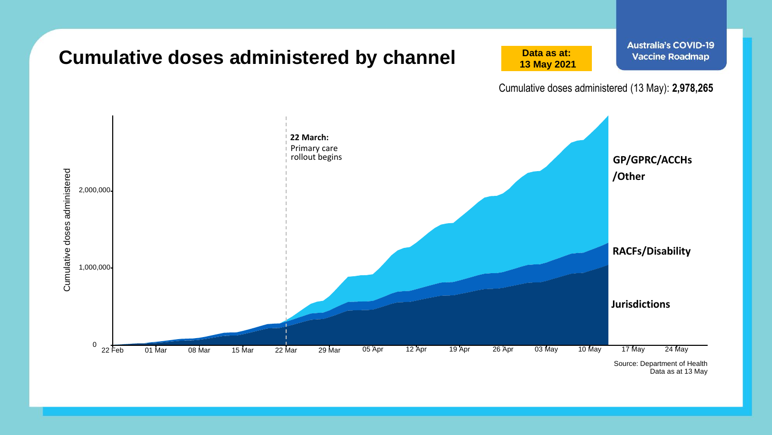

Data as at 13 May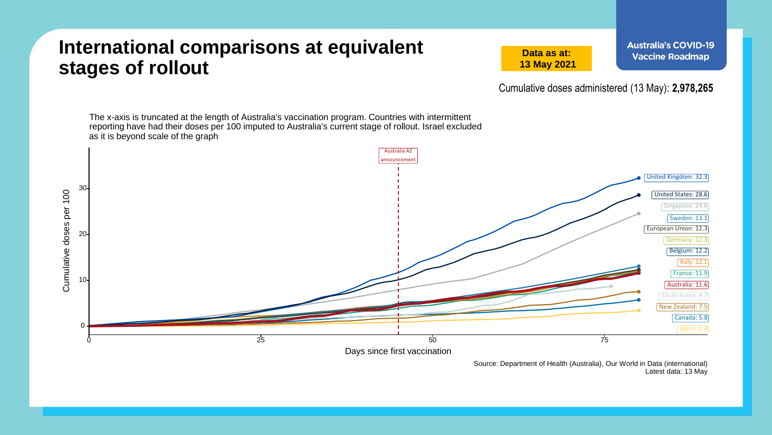## **International comparisons at equivalent stages of rollout**

**Data as at: 13 May 2021** **Australia's COVID-19 Vaccine Roadmap** 

Cumulative doses administered (13 May): **2,978,265**

The x-axis is truncated at the length of Australia's vaccination program. Countries with intermittent reporting have had their doses per 100 imputed to Australia's current stage of rollout. Israel excluded as it is beyond scale of the graph Australia AZ announcemen United Kingdom: 32.3 30 Cumulative doses per 100 Cumulative doses per 100 United States: 28.6 Singapore: 24.6 Sweden: 13.1 European Union: 12.3 20 Germany: 12.3 Belgium: 12.2 Italy: 12.1 France: 11.9 10 Australia: 11.6 South Korea: 8.7 New Zealand: 7.5 Canada: 5.8 0  $0$  6  $25$  50  $75$ Days since first vaccination

Source: Department of Health (Australia), Our World in Data (international) Latest data: 13 May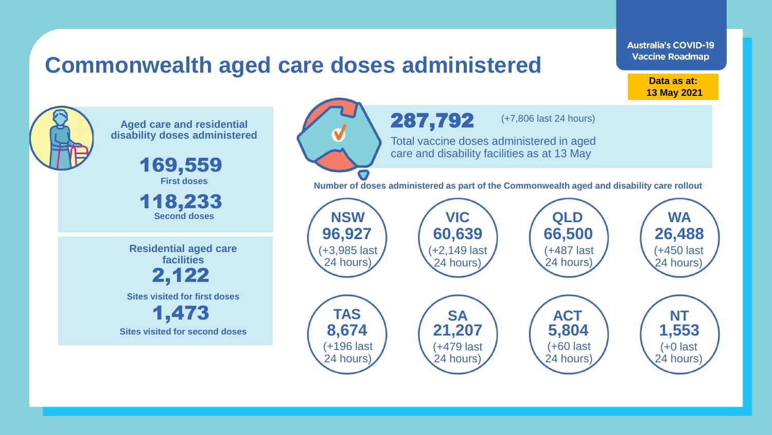## **Commonwealth aged care doses administered**

**Data as at: Data as at: 18 Apr 2021 13 May 2021**